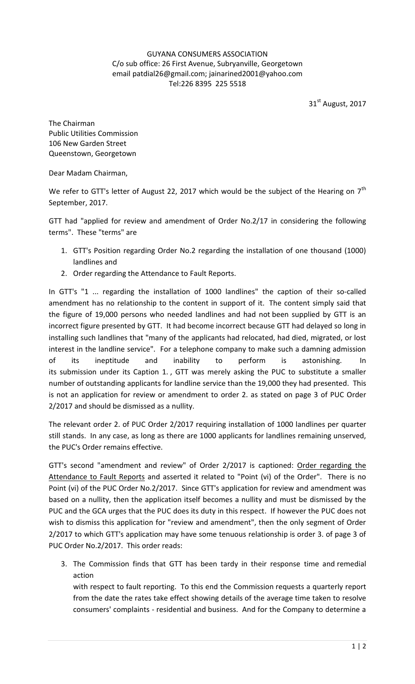## GUYANA CONSUMERS ASSOCIATION C/o sub office: 26 First Avenue, Subryanville, Georgetown email patdial26@gmail.com; jainarined2001@yahoo.com Tel:226 8395 225 5518

31st August, 2017

The Chairman Public Utilities Commission 106 New Garden Street Queenstown, Georgetown

Dear Madam Chairman,

We refer to GTT's letter of August 22, 2017 which would be the subject of the Hearing on  $7<sup>th</sup>$ September, 2017.

GTT had "applied for review and amendment of Order No.2/17 in considering the following terms". These "terms" are

- 1. GTT's Position regarding Order No.2 regarding the installation of one thousand (1000) landlines and
- 2. Order regarding the Attendance to Fault Reports.

In GTT's "1 ... regarding the installation of 1000 landlines" the caption of their so-called amendment has no relationship to the content in support of it. The content simply said that the figure of 19,000 persons who needed landlines and had not been supplied by GTT is an incorrect figure presented by GTT. It had become incorrect because GTT had delayed so long in installing such landlines that "many of the applicants had relocated, had died, migrated, or lost interest in the landline service". For a telephone company to make such a damning admission of its ineptitude and inability to perform is astonishing. In its submission under its Caption 1. , GTT was merely asking the PUC to substitute a smaller number of outstanding applicants for landline service than the 19,000 they had presented. This is not an application for review or amendment to order 2. as stated on page 3 of PUC Order 2/2017 and should be dismissed as a nullity.

The relevant order 2. of PUC Order 2/2017 requiring installation of 1000 landlines per quarter still stands. In any case, as long as there are 1000 applicants for landlines remaining unserved, the PUC's Order remains effective.

GTT's second "amendment and review" of Order 2/2017 is captioned: Order regarding the Attendance to Fault Reports and asserted it related to "Point (vi) of the Order". There is no Point (vi) of the PUC Order No.2/2017. Since GTT's application for review and amendment was based on a nullity, then the application itself becomes a nullity and must be dismissed by the PUC and the GCA urges that the PUC does its duty in this respect. If however the PUC does not wish to dismiss this application for "review and amendment", then the only segment of Order 2/2017 to which GTT's application may have some tenuous relationship is order 3. of page 3 of PUC Order No.2/2017. This order reads:

3. The Commission finds that GTT has been tardy in their response time and remedial action

with respect to fault reporting. To this end the Commission requests a quarterly report from the date the rates take effect showing details of the average time taken to resolve consumers' complaints - residential and business. And for the Company to determine a